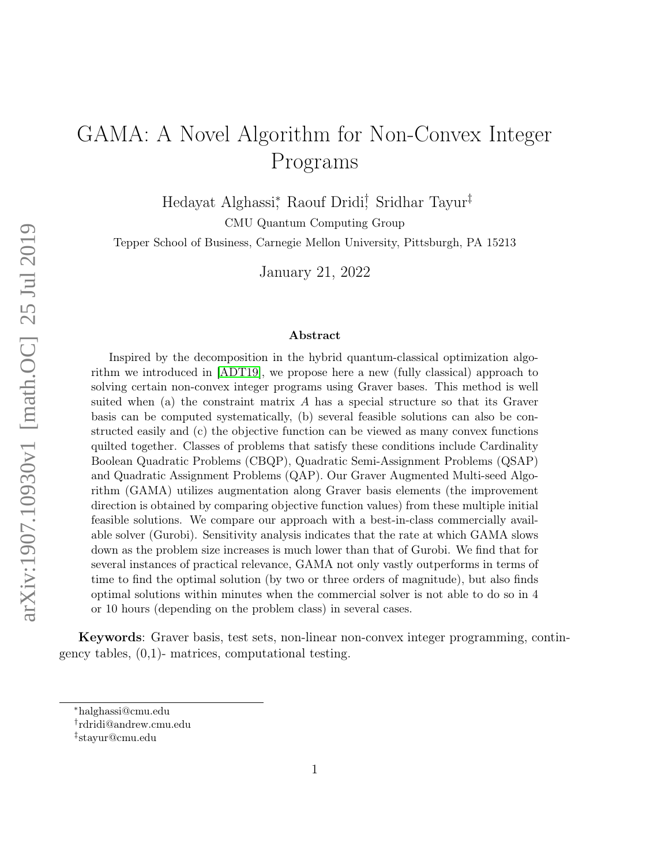# <span id="page-0-0"></span>GAMA: A Novel Algorithm for Non-Convex Integer Programs

Hedayat Alghassi<sup>\*</sup>, Raouf Dridi<sup>†</sup>, Sridhar Tayur<sup>‡</sup>

CMU Quantum Computing Group

Tepper School of Business, Carnegie Mellon University, Pittsburgh, PA 15213

January 21, 2022

#### Abstract

arXiv:1907.10930v1 [math.OC] 25 Jul 2019 arXiv:1907.10930v1 [math.OC] 25 Jul 2019

Inspired by the decomposition in the hybrid quantum-classical optimization algorithm we introduced in [\[ADT19\]](#page-22-0), we propose here a new (fully classical) approach to solving certain non-convex integer programs using Graver bases. This method is well suited when (a) the constraint matrix A has a special structure so that its Graver basis can be computed systematically, (b) several feasible solutions can also be constructed easily and (c) the objective function can be viewed as many convex functions quilted together. Classes of problems that satisfy these conditions include Cardinality Boolean Quadratic Problems (CBQP), Quadratic Semi-Assignment Problems (QSAP) and Quadratic Assignment Problems (QAP). Our Graver Augmented Multi-seed Algorithm (GAMA) utilizes augmentation along Graver basis elements (the improvement direction is obtained by comparing objective function values) from these multiple initial feasible solutions. We compare our approach with a best-in-class commercially available solver (Gurobi). Sensitivity analysis indicates that the rate at which GAMA slows down as the problem size increases is much lower than that of Gurobi. We find that for several instances of practical relevance, GAMA not only vastly outperforms in terms of time to find the optimal solution (by two or three orders of magnitude), but also finds optimal solutions within minutes when the commercial solver is not able to do so in 4 or 10 hours (depending on the problem class) in several cases.

Keywords: Graver basis, test sets, non-linear non-convex integer programming, contingency tables,  $(0,1)$ - matrices, computational testing.

<sup>∗</sup>halghassi@cmu.edu

<sup>†</sup> rdridi@andrew.cmu.edu

<sup>‡</sup> stayur@cmu.edu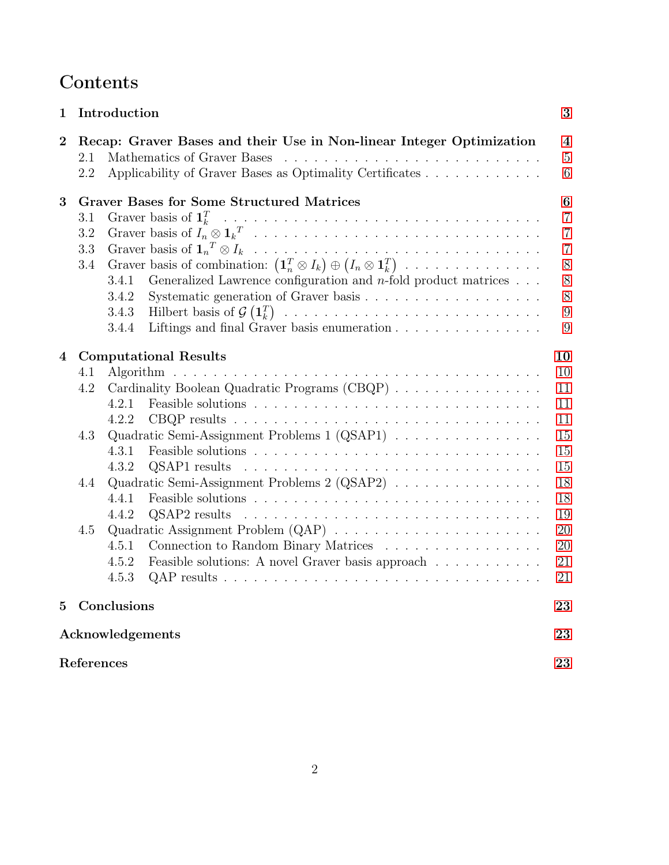# Contents

| 1           |                                  | Introduction<br>3                                                                                                                                                                                                                                                                                                                                           |                                                                                                 |  |  |  |
|-------------|----------------------------------|-------------------------------------------------------------------------------------------------------------------------------------------------------------------------------------------------------------------------------------------------------------------------------------------------------------------------------------------------------------|-------------------------------------------------------------------------------------------------|--|--|--|
| $\bf{2}$    | 2.1<br>2.2                       | Recap: Graver Bases and their Use in Non-linear Integer Optimization<br>Applicability of Graver Bases as Optimality Certificates                                                                                                                                                                                                                            | $\overline{\mathbf{4}}$<br>$\overline{5}$<br>6                                                  |  |  |  |
| 3           | 3.1<br>$3.2\,$<br>3.3<br>$3.4\,$ | <b>Graver Bases for Some Structured Matrices</b><br>Graver basis of combination: $(\mathbf{1}_n^T \otimes I_k) \oplus (I_n \otimes \mathbf{1}_k^T) \dots \dots \dots \dots \dots$<br>3.4.1<br>Generalized Lawrence configuration and <i>n</i> -fold product matrices $\ldots$<br>3.4.2<br>3.4.3<br>Liftings and final Graver basis enumeration<br>3.4.4     | $\boldsymbol{6}$<br>$\overline{7}$<br>$\overline{7}$<br>$\overline{7}$<br>8<br>8<br>8<br>9<br>9 |  |  |  |
| 4           | 4.1<br>4.2<br>4.3<br>4.4<br>4.5  | <b>Computational Results</b><br>Cardinality Boolean Quadratic Programs (CBQP)<br>4.2.1<br>4.2.2<br>Quadratic Semi-Assignment Problems 1 (QSAP1)<br>4.3.1<br>4.3.2<br>Quadratic Semi-Assignment Problems 2 (QSAP2)<br>4.4.1<br>4.4.2<br>Connection to Random Binary Matrices<br>4.5.1<br>Feasible solutions: A novel Graver basis approach<br>4.5.2<br>4.5.3 | 10<br>10<br>11<br>11<br>11<br>15<br>15<br>15<br>18<br>18<br>19<br>20<br>20<br>21<br>21          |  |  |  |
| $5^{\circ}$ |                                  | Conclusions                                                                                                                                                                                                                                                                                                                                                 | 23                                                                                              |  |  |  |
|             | Acknowledgements<br>23           |                                                                                                                                                                                                                                                                                                                                                             |                                                                                                 |  |  |  |
|             | References<br>23                 |                                                                                                                                                                                                                                                                                                                                                             |                                                                                                 |  |  |  |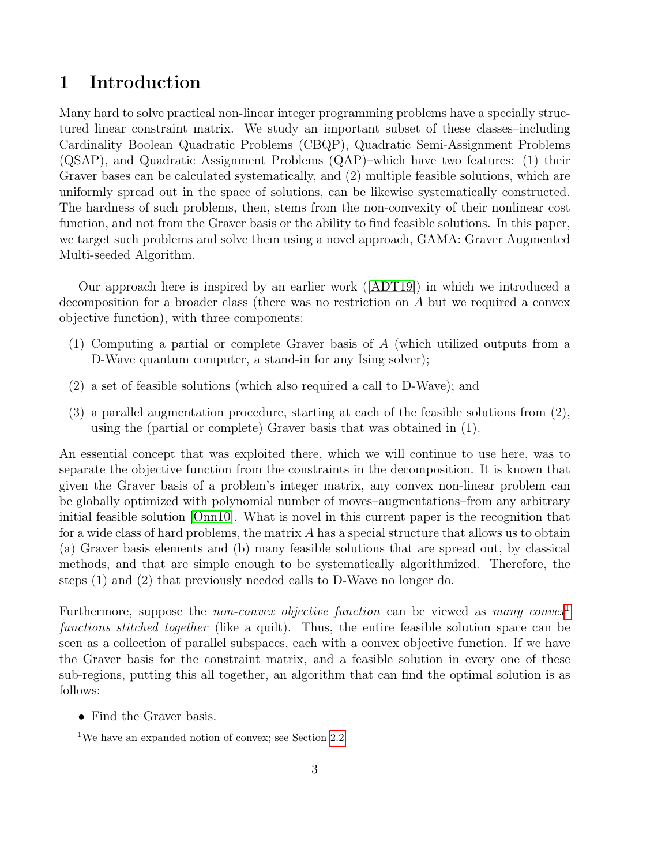# <span id="page-2-2"></span><span id="page-2-0"></span>1 Introduction

Many hard to solve practical non-linear integer programming problems have a specially structured linear constraint matrix. We study an important subset of these classes–including Cardinality Boolean Quadratic Problems (CBQP), Quadratic Semi-Assignment Problems (QSAP), and Quadratic Assignment Problems (QAP)–which have two features: (1) their Graver bases can be calculated systematically, and (2) multiple feasible solutions, which are uniformly spread out in the space of solutions, can be likewise systematically constructed. The hardness of such problems, then, stems from the non-convexity of their nonlinear cost function, and not from the Graver basis or the ability to find feasible solutions. In this paper, we target such problems and solve them using a novel approach, GAMA: Graver Augmented Multi-seeded Algorithm.

Our approach here is inspired by an earlier work ([\[ADT19\]](#page-22-0)) in which we introduced a decomposition for a broader class (there was no restriction on A but we required a convex objective function), with three components:

- (1) Computing a partial or complete Graver basis of A (which utilized outputs from a D-Wave quantum computer, a stand-in for any Ising solver);
- (2) a set of feasible solutions (which also required a call to D-Wave); and
- (3) a parallel augmentation procedure, starting at each of the feasible solutions from (2), using the (partial or complete) Graver basis that was obtained in (1).

An essential concept that was exploited there, which we will continue to use here, was to separate the objective function from the constraints in the decomposition. It is known that given the Graver basis of a problem's integer matrix, any convex non-linear problem can be globally optimized with polynomial number of moves–augmentations–from any arbitrary initial feasible solution [\[Onn10\]](#page-24-0). What is novel in this current paper is the recognition that for a wide class of hard problems, the matrix A has a special structure that allows us to obtain (a) Graver basis elements and (b) many feasible solutions that are spread out, by classical methods, and that are simple enough to be systematically algorithmized. Therefore, the steps (1) and (2) that previously needed calls to D-Wave no longer do.

Furthermore, suppose the *non-convex objective function* can be viewed as *many convex*<sup>[1](#page-2-1)</sup> functions stitched together (like a quilt). Thus, the entire feasible solution space can be seen as a collection of parallel subspaces, each with a convex objective function. If we have the Graver basis for the constraint matrix, and a feasible solution in every one of these sub-regions, putting this all together, an algorithm that can find the optimal solution is as follows:

• Find the Graver basis.

<span id="page-2-1"></span><sup>1</sup>We have an expanded notion of convex; see Section [2.2.](#page-5-0)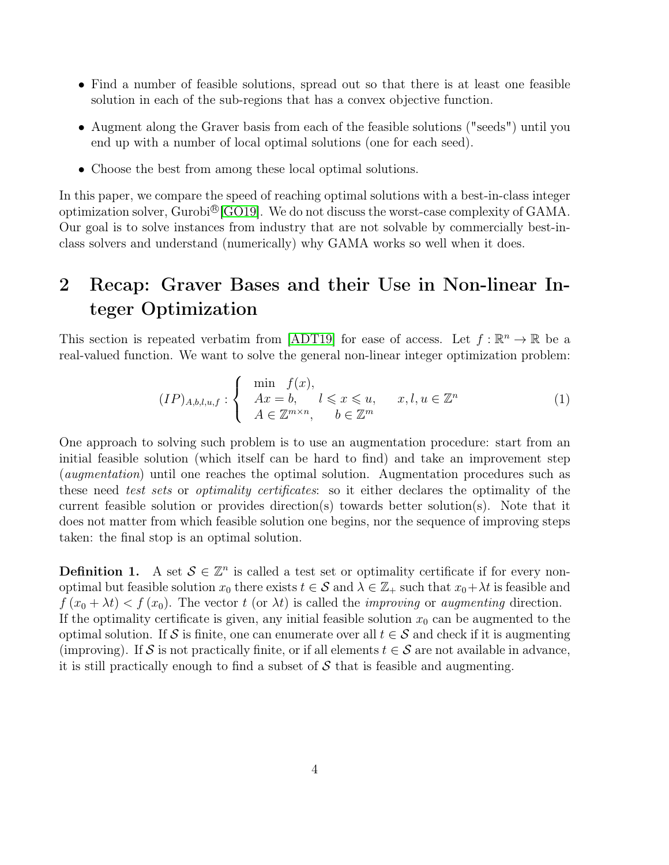- <span id="page-3-2"></span>• Find a number of feasible solutions, spread out so that there is at least one feasible solution in each of the sub-regions that has a convex objective function.
- Augment along the Graver basis from each of the feasible solutions ("seeds") until you end up with a number of local optimal solutions (one for each seed).
- Choose the best from among these local optimal solutions.

In this paper, we compare the speed of reaching optimal solutions with a best-in-class integer optimization solver, Gurobi<sup>®</sup> [\[GO19\]](#page-23-0). We do not discuss the worst-case complexity of GAMA. Our goal is to solve instances from industry that are not solvable by commercially best-inclass solvers and understand (numerically) why GAMA works so well when it does.

# <span id="page-3-0"></span>2 Recap: Graver Bases and their Use in Non-linear Integer Optimization

This section is repeated verbatim from [\[ADT19\]](#page-22-0) for ease of access. Let  $f : \mathbb{R}^n \to \mathbb{R}$  be a real-valued function. We want to solve the general non-linear integer optimization problem:

<span id="page-3-1"></span>
$$
(IP)_{A,b,l,u,f} : \begin{cases} \min f(x), \\ Ax = b, \quad l \leq x \leq u, \\ A \in \mathbb{Z}^{m \times n}, \quad b \in \mathbb{Z}^m \end{cases} \quad x, l, u \in \mathbb{Z}^n \tag{1}
$$

One approach to solving such problem is to use an augmentation procedure: start from an initial feasible solution (which itself can be hard to find) and take an improvement step (augmentation) until one reaches the optimal solution. Augmentation procedures such as these need test sets or optimality certificates: so it either declares the optimality of the current feasible solution or provides direction(s) towards better solution(s). Note that it does not matter from which feasible solution one begins, nor the sequence of improving steps taken: the final stop is an optimal solution.

**Definition 1.** A set  $\mathcal{S} \in \mathbb{Z}^n$  is called a test set or optimality certificate if for every nonoptimal but feasible solution  $x_0$  there exists  $t \in S$  and  $\lambda \in \mathbb{Z}_+$  such that  $x_0 + \lambda t$  is feasible and  $f(x_0 + \lambda t) < f(x_0)$ . The vector t (or  $\lambda t$ ) is called the *improving* or *augmenting* direction. If the optimality certificate is given, any initial feasible solution  $x_0$  can be augmented to the optimal solution. If S is finite, one can enumerate over all  $t \in S$  and check if it is augmenting (improving). If S is not practically finite, or if all elements  $t \in S$  are not available in advance, it is still practically enough to find a subset of  $S$  that is feasible and augmenting.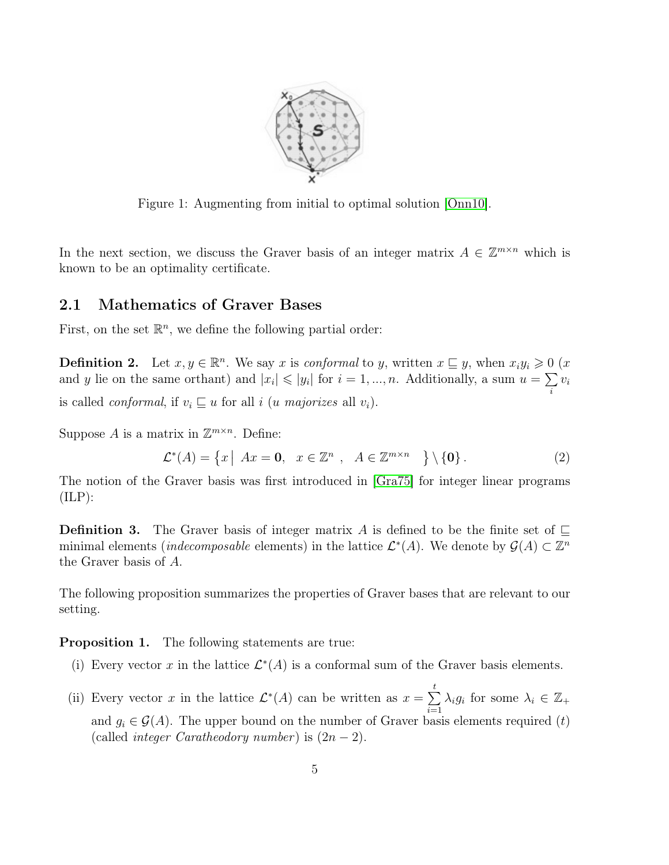<span id="page-4-1"></span>

Figure 1: Augmenting from initial to optimal solution [\[Onn10\]](#page-24-0).

In the next section, we discuss the Graver basis of an integer matrix  $A \in \mathbb{Z}^{m \times n}$  which is known to be an optimality certificate.

### <span id="page-4-0"></span>2.1 Mathematics of Graver Bases

First, on the set  $\mathbb{R}^n$ , we define the following partial order:

**Definition 2.** Let  $x, y \in \mathbb{R}^n$ . We say x is conformal to y, written  $x \subseteq y$ , when  $x_i y_i \geq 0$  (x and y lie on the same orthant) and  $|x_i| \leqslant |y_i|$  for  $i = 1, ..., n$ . Additionally, a sum  $u = \sum$ i  $v_i$ is called *conformal*, if  $v_i \sqsubseteq u$  for all i (u majorizes all  $v_i$ ).

Suppose A is a matrix in  $\mathbb{Z}^{m \times n}$ . Define:

$$
\mathcal{L}^*(A) = \left\{ x \mid Ax = \mathbf{0}, \quad x \in \mathbb{Z}^n \; , \quad A \in \mathbb{Z}^{m \times n} \right\} \setminus \left\{ \mathbf{0} \right\}.
$$
 (2)

The notion of the Graver basis was first introduced in [\[Gra75\]](#page-23-1) for integer linear programs  $(\text{ILP})$ :

**Definition 3.** The Graver basis of integer matrix A is defined to be the finite set of  $\sqsubseteq$ minimal elements (*indecomposable* elements) in the lattice  $\mathcal{L}^*(A)$ . We denote by  $\mathcal{G}(A) \subset \mathbb{Z}^n$ the Graver basis of A.

The following proposition summarizes the properties of Graver bases that are relevant to our setting.

Proposition 1. The following statements are true:

- (i) Every vector x in the lattice  $\mathcal{L}^*(A)$  is a conformal sum of the Graver basis elements.
- (ii) Every vector x in the lattice  $\mathcal{L}^*(A)$  can be written as  $x = \sum_{k=1}^t$  $i=1$  $\lambda_i g_i$  for some  $\lambda_i \in \mathbb{Z}_+$ and  $q_i \in \mathcal{G}(A)$ . The upper bound on the number of Graver basis elements required (t) (called *integer Caratheodory number*) is  $(2n - 2)$ .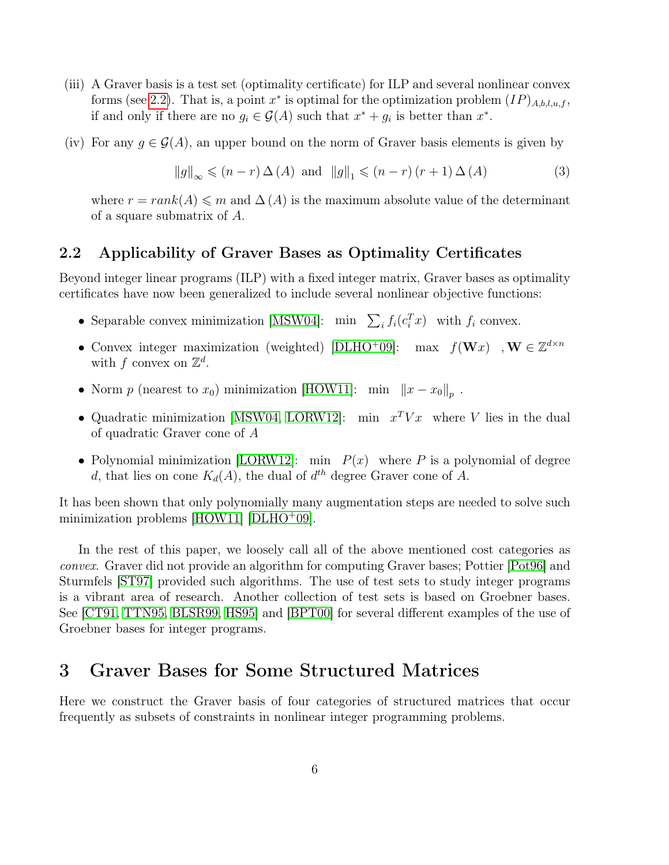- <span id="page-5-2"></span>(iii) A Graver basis is a test set (optimality certificate) for ILP and several nonlinear convex forms (see [2.2\)](#page-5-0). That is, a point  $x^*$  is optimal for the optimization problem  $(IP)_{A,b,l,u,f}$ , if and only if there are no  $g_i \in \mathcal{G}(A)$  such that  $x^* + g_i$  is better than  $x^*$ .
- (iv) For any  $g \in \mathcal{G}(A)$ , an upper bound on the norm of Graver basis elements is given by

$$
||g||_{\infty} \leqslant (n-r)\Delta(A) \text{ and } ||g||_{1} \leqslant (n-r)(r+1)\Delta(A)
$$
 (3)

where  $r = rank(A) \leq m$  and  $\Delta(A)$  is the maximum absolute value of the determinant of a square submatrix of A.

### <span id="page-5-0"></span>2.2 Applicability of Graver Bases as Optimality Certificates

Beyond integer linear programs (ILP) with a fixed integer matrix, Graver bases as optimality certificates have now been generalized to include several nonlinear objective functions:

- Separable convex minimization [\[MSW04\]](#page-24-1): min  $\sum_i f_i(c_i^T x)$  with  $f_i$  convex.
- Convex integer maximization (weighted) [\[DLHO](#page-23-2)+09]: max  $f(\mathbf{W}x)$ ,  $\mathbf{W} \in \mathbb{Z}^{d \times n}$ with f convex on  $\mathbb{Z}^d$ .
- Norm p (nearest to  $x_0$ ) minimization [\[HOW11\]](#page-23-3): min  $||x x_0||_p$ .
- Quadratic minimization [\[MSW04,](#page-24-1) [LORW12\]](#page-23-4): min  $x^T V x$  where V lies in the dual of quadratic Graver cone of A
- Polynomial minimization [\[LORW12\]](#page-23-4): min  $P(x)$  where P is a polynomial of degree d, that lies on cone  $K_d(A)$ , the dual of  $d^{th}$  degree Graver cone of A.

It has been shown that only polynomially many augmentation steps are needed to solve such minimization problems  $[HOW11]$   $[DLHO<sup>+</sup>09]$  $[DLHO<sup>+</sup>09]$ .

In the rest of this paper, we loosely call all of the above mentioned cost categories as convex. Graver did not provide an algorithm for computing Graver bases; Pottier [\[Pot96\]](#page-24-2) and Sturmfels [\[ST97\]](#page-24-3) provided such algorithms. The use of test sets to study integer programs is a vibrant area of research. Another collection of test sets is based on Groebner bases. See [\[CT91,](#page-23-5) [TTN95,](#page-24-4) [BLSR99,](#page-22-4) [HS95\]](#page-23-6) and [\[BPT00\]](#page-22-5) for several different examples of the use of Groebner bases for integer programs.

## <span id="page-5-1"></span>3 Graver Bases for Some Structured Matrices

Here we construct the Graver basis of four categories of structured matrices that occur frequently as subsets of constraints in nonlinear integer programming problems.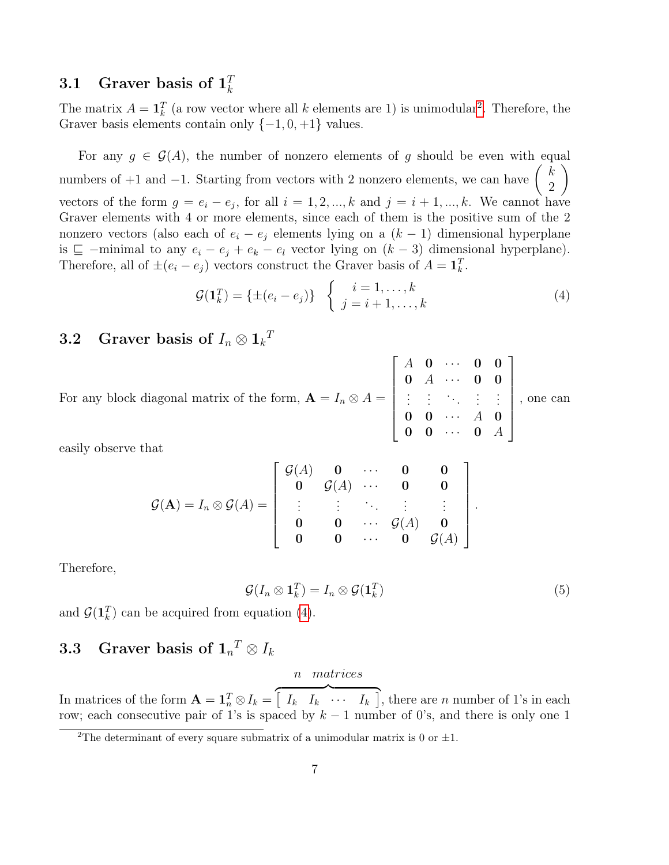#### <span id="page-6-0"></span>3.1 Graver basis of  $1_k^T$ k

The matrix  $A = \mathbf{1}_k^T$  (a row vector where all k elements are 1) is unimodular<sup>[2](#page-6-3)</sup>. Therefore, the Graver basis elements contain only  $\{-1, 0, +1\}$  values.

For any  $g \in \mathcal{G}(A)$ , the number of nonzero elements of g should be even with equal numbers of +1 and -1. Starting from vectors with 2 nonzero elements, we can have  $\begin{pmatrix} k \\ 2 \end{pmatrix}$ 2  $\setminus$ vectors of the form  $g = e_i - e_j$ , for all  $i = 1, 2, ..., k$  and  $j = i + 1, ..., k$ . We cannot have Graver elements with 4 or more elements, since each of them is the positive sum of the 2 nonzero vectors (also each of  $e_i - e_j$  elements lying on a  $(k-1)$  dimensional hyperplane is  $\sqsubseteq$  −minimal to any  $e_i - e_j + e_k - e_l$  vector lying on  $(k-3)$  dimensional hyperplane). Therefore, all of  $\pm (e_i - e_j)$  vectors construct the Graver basis of  $A = \mathbf{1}_k^T$ .

<span id="page-6-4"></span>
$$
\mathcal{G}(\mathbf{1}_k^T) = \{ \pm (e_i - e_j) \} \quad \begin{cases} i = 1, \dots, k \\ j = i + 1, \dots, k \end{cases} \tag{4}
$$

# <span id="page-6-1"></span>3.2 Graver basis of  $I_n \otimes 1_k{}^T$

For any block diagonal matrix of the form,  $\mathbf{A} = I_n \otimes A =$  $\sqrt{ }$  $\begin{array}{c} \begin{array}{c} \begin{array}{c} \end{array} \\ \begin{array}{c} \end{array} \end{array} \end{array}$  $A$  0  $\cdots$  0 0  $0 \quad A \quad \cdots \quad 0 \quad 0$ .<br>. . . . .  $0 \quad 0 \quad \cdots \quad A \quad 0$  $0 \quad 0 \quad \cdots \quad 0 \quad A$ 1  $\begin{array}{c} \begin{array}{c} \begin{array}{c} \end{array} \\ \begin{array}{c} \end{array} \end{array} \end{array}$ , one can

easily observe that

$$
\mathcal{G}(\mathbf{A}) = I_n \otimes \mathcal{G}(A) = \begin{bmatrix} \mathcal{G}(A) & \mathbf{0} & \cdots & \mathbf{0} & \mathbf{0} \\ \mathbf{0} & \mathcal{G}(A) & \cdots & \mathbf{0} & \mathbf{0} \\ \vdots & \vdots & \ddots & \vdots & \vdots \\ \mathbf{0} & \mathbf{0} & \cdots & \mathcal{G}(A) & \mathbf{0} \\ \mathbf{0} & \mathbf{0} & \cdots & \mathbf{0} & \mathcal{G}(A) \end{bmatrix}.
$$

Therefore,

$$
\mathcal{G}(I_n \otimes \mathbf{1}_k^T) = I_n \otimes \mathcal{G}(\mathbf{1}_k^T) \tag{5}
$$

and  $\mathcal{G}(\mathbf{1}_k^T)$  can be acquired from equation [\(4\)](#page-6-4).

# <span id="page-6-2"></span> $3.3$  Graver basis of  $\mathbf{1}_n^{\ T} \otimes I_k$

#### <span id="page-6-5"></span>n matrices

In matrices of the form  $\mathbf{A} = \mathbf{1}_n^T \otimes I_k = \begin{bmatrix} I_k & I_k \end{bmatrix}$   $\cdots$   $I_k$ , there are n number of 1's in each row; each consecutive pair of 1's is spaced by  $k-1$  number of 0's, and there is only one 1

<span id="page-6-3"></span><sup>&</sup>lt;sup>2</sup>The determinant of every square submatrix of a unimodular matrix is 0 or  $\pm 1$ .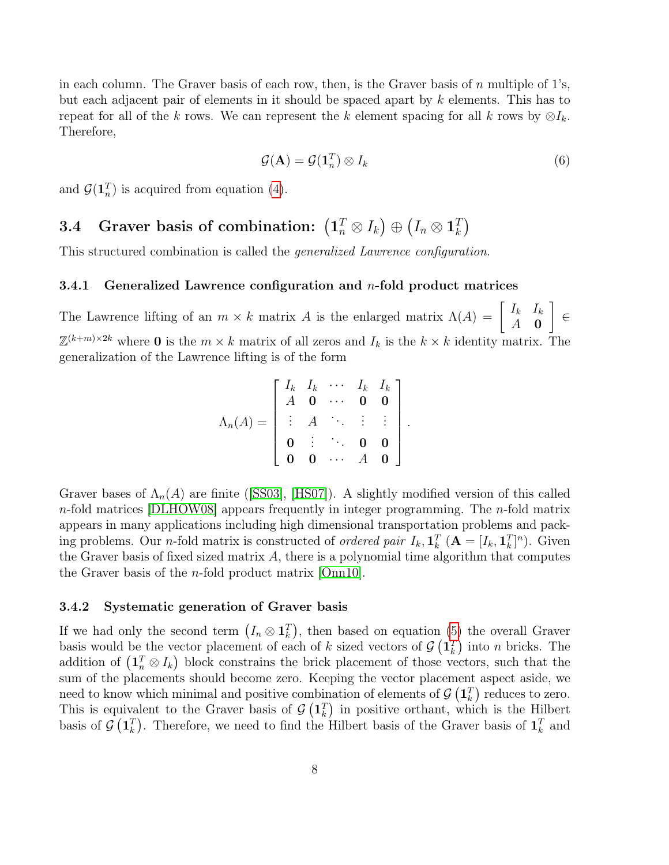<span id="page-7-4"></span>in each column. The Graver basis of each row, then, is the Graver basis of  $n$  multiple of 1's, but each adjacent pair of elements in it should be spaced apart by k elements. This has to repeat for all of the k rows. We can represent the k element spacing for all k rows by  $\otimes I_k$ . Therefore,

<span id="page-7-3"></span>
$$
\mathcal{G}(\mathbf{A}) = \mathcal{G}(\mathbf{1}_n^T) \otimes I_k \tag{6}
$$

and  $\mathcal{G}(1_n^T)$  is acquired from equation [\(4\)](#page-6-4).

#### <span id="page-7-0"></span> $\textbf{3.4} \quad \textbf{Graver basis of combination:} \ \left(\mathbf{1}_n^T \otimes I_k\right) \oplus \left(I_n \otimes \mathbf{1}_k^T\right)$  $_{k}^{T})$

This structured combination is called the generalized Lawrence configuration.

### <span id="page-7-1"></span>3.4.1 Generalized Lawrence configuration and  $n$ -fold product matrices

The Lawrence lifting of an  $m \times k$  matrix A is the enlarged matrix  $\Lambda(A) = \begin{bmatrix} I_k & I_k \\ A & \Omega \end{bmatrix}$  $A \quad \mathbf{0}$ 1 ∈  $\mathbb{Z}^{(k+m)\times 2k}$  where **0** is the  $m \times k$  matrix of all zeros and  $I_k$  is the  $k \times k$  identity matrix. The generalization of the Lawrence lifting is of the form

$$
\Lambda_n(A) = \left[ \begin{array}{cccccc} I_k & I_k & \cdots & I_k & I_k \\ A & \mathbf{0} & \cdots & \mathbf{0} & \mathbf{0} \\ \vdots & A & \cdots & \vdots & \vdots \\ \mathbf{0} & \vdots & \ddots & \mathbf{0} & \mathbf{0} \\ \mathbf{0} & \mathbf{0} & \cdots & A & \mathbf{0} \end{array} \right].
$$

Graver bases of  $\Lambda_n(A)$  are finite ([\[SS03\]](#page-24-5), [\[HS07\]](#page-23-7)). A slightly modified version of this called  $n$ -fold matrices [\[DLHOW08\]](#page-23-8) appears frequently in integer programming. The  $n$ -fold matrix appears in many applications including high dimensional transportation problems and packing problems. Our *n*-fold matrix is constructed of *ordered pair*  $I_k$ ,  $\mathbf{1}_k^T$  ( $\mathbf{A} = [I_k, \mathbf{1}_k^T]^n$ ). Given the Graver basis of fixed sized matrix  $A$ , there is a polynomial time algorithm that computes the Graver basis of the n-fold product matrix [\[Onn10\]](#page-24-0).

### <span id="page-7-2"></span>3.4.2 Systematic generation of Graver basis

If we had only the second term  $(I_n \otimes \mathbf{1}_k^T)$ , then based on equation [\(5\)](#page-6-5) the overall Graver basis would be the vector placement of each of k sized vectors of  $\mathcal{G}(\mathbf{1}_k^T)$  into n bricks. The addition of  $(\mathbf{1}_n^T \otimes I_k)$  block constrains the brick placement of those vectors, such that the sum of the placements should become zero. Keeping the vector placement aspect aside, we need to know which minimal and positive combination of elements of  $\mathcal{G}(\mathbf{1}_k^T)$  reduces to zero. This is equivalent to the Graver basis of  $\mathcal{G}(\mathbf{1}_k^T)$  in positive orthant, which is the Hilbert basis of  $\mathcal{G}(\mathbf{1}_k^T)$ . Therefore, we need to find the Hilbert basis of the Graver basis of  $\mathbf{1}_k^T$  and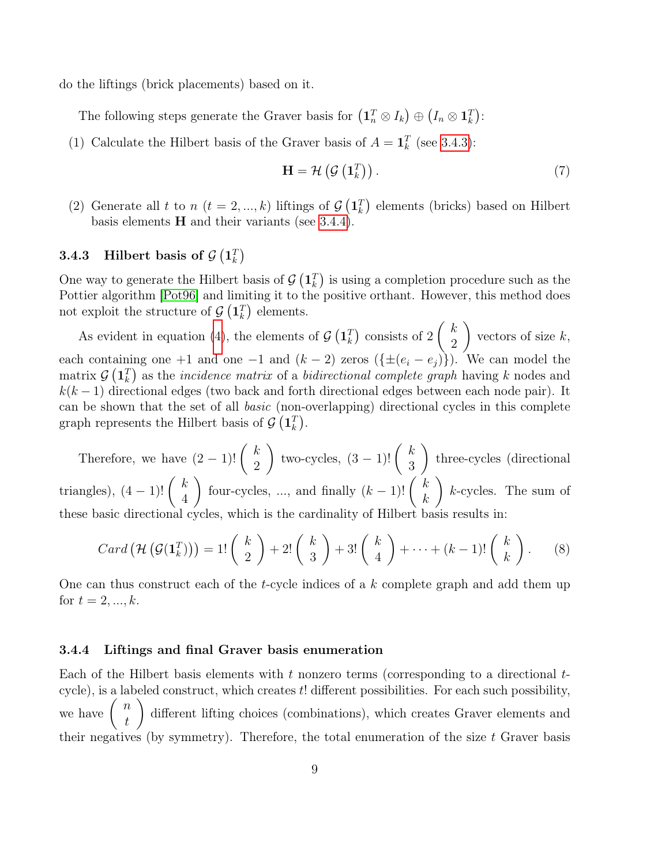<span id="page-8-2"></span>do the liftings (brick placements) based on it.

The following steps generate the Graver basis for  $(1_n^T \otimes I_k) \oplus (I_n \otimes 1_k^T)$ :

(1) Calculate the Hilbert basis of the Graver basis of  $A = \mathbf{1}_k^T$  (see [3.4.3\)](#page-8-0):

$$
\mathbf{H} = \mathcal{H}\left(\mathcal{G}\left(\mathbf{1}_k^T\right)\right). \tag{7}
$$

(2) Generate all t to  $n$  ( $t = 2, ..., k$ ) liftings of  $\mathcal{G}(\mathbf{1}_k^T)$  elements (bricks) based on Hilbert basis elements  $H$  and their variants (see [3.4.4\)](#page-8-1).

### <span id="page-8-0"></span> $\textbf{3.4.3} \quad \textbf{Hilbert basis of } \mathcal{G}\left(\mathbf{1}_k^T\right)$

One way to generate the Hilbert basis of  $\mathcal{G}(\mathbf{1}_k^T)$  is using a completion procedure such as the Pottier algorithm [\[Pot96\]](#page-24-2) and limiting it to the positive orthant. However, this method does not exploit the structure of  $\mathcal{G}(\mathbf{1}_k^T)$  elements.

As evident in equation [\(4\)](#page-6-4), the elements of  $\mathcal{G}(\mathbf{1}_k^T)$  consists of 2  $\int k$ 2  $\setminus$ vectors of size  $k$ , each containing one +1 and one −1 and  $(k-2)$  zeros  $(\{\pm (e_i - e_j)\})$ . We can model the matrix  $\mathcal{G}(\mathbf{1}_k^T)$  as the *incidence matrix* of a *bidirectional complete graph* having k nodes and  $k(k-1)$  directional edges (two back and forth directional edges between each node pair). It can be shown that the set of all basic (non-overlapping) directional cycles in this complete graph represents the Hilbert basis of  $\mathcal{G}(\mathbf{1}_k^T)$ .

Therefore, we have  $(2-1)!$   $\binom{k}{2}$ 2 f two-cycles,  $(3-1)!$   $\binom{k}{2}$ 3  $\setminus$ three-cycles (directional triangles),  $(4-1)!$   $\binom{k}{4}$ 4 four-cycles, ..., and finally  $(k-1)!$   $\binom{k}{k}$ k  $\setminus$ k-cycles. The sum of these basic directional cycles, which is the cardinality of Hilbert basis results in:

$$
Card\left(\mathcal{H}\left(\mathcal{G}(\mathbf{1}_k^T)\right)\right) = 1! \begin{pmatrix} k \\ 2 \end{pmatrix} + 2! \begin{pmatrix} k \\ 3 \end{pmatrix} + 3! \begin{pmatrix} k \\ 4 \end{pmatrix} + \cdots + (k-1)! \begin{pmatrix} k \\ k \end{pmatrix}.
$$
 (8)

One can thus construct each of the t-cycle indices of a k complete graph and add them up for  $t = 2, ..., k$ .

#### <span id="page-8-1"></span>3.4.4 Liftings and final Graver basis enumeration

Each of the Hilbert basis elements with t nonzero terms (corresponding to a directional  $t$ cycle), is a labeled construct, which creates  $t!$  different possibilities. For each such possibility, we have  $\begin{pmatrix} n \\ 1 \end{pmatrix}$ t  $\setminus$ different lifting choices (combinations), which creates Graver elements and their negatives (by symmetry). Therefore, the total enumeration of the size  $t$  Graver basis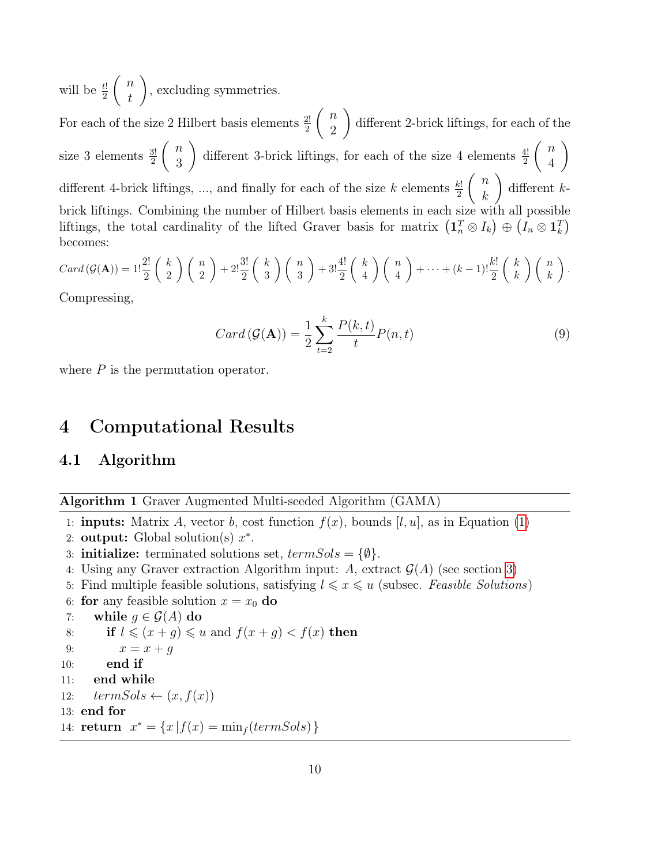will be  $\frac{t!}{2}$  $\left( n\right)$ t  $\setminus$ , excluding symmetries.

For each of the size 2 Hilbert basis elements  $\frac{2!}{2}$  $\left( n\right)$ 2  $\setminus$ different 2-brick liftings, for each of the size 3 elements  $\frac{3!}{2}$  $\binom{n}{n}$ 3 different 3-brick liftings, for each of the size 4 elements  $\frac{4!}{2}$  $\binom{n}{n}$ 4  $\setminus$ different 4-brick liftings, ..., and finally for each of the size k elements  $\frac{k!}{2}$  $\left( n\right)$ k  $\setminus$ different kbrick liftings. Combining the number of Hilbert basis elements in each size with all possible liftings, the total cardinality of the lifted Graver basis for matrix  $(1_n^T \otimes I_k) \oplus (I_n \otimes 1_k^T)$ becomes:

$$
Card(\mathcal{G}(\mathbf{A})) = 1! \frac{2!}{2} \binom{k}{2} \binom{n}{2} + 2! \frac{3!}{2} \binom{k}{3} \binom{n}{3} + 3! \frac{4!}{2} \binom{k}{4} \binom{n}{4} + \dots + (k-1)! \frac{k!}{2} \binom{k}{k} \binom{n}{k}.
$$

Compressing,

$$
Card(\mathcal{G}(\mathbf{A})) = \frac{1}{2} \sum_{t=2}^{k} \frac{P(k,t)}{t} P(n,t)
$$
\n(9)

where  $P$  is the permutation operator.

## <span id="page-9-0"></span>4 Computational Results

### <span id="page-9-1"></span>4.1 Algorithm

Algorithm 1 Graver Augmented Multi-seeded Algorithm (GAMA)

- 1: **inputs:** Matrix A, vector b, cost function  $f(x)$ , bounds [l, u], as in Equation [\(1\)](#page-3-1)
- 2: output: Global solution(s)  $x^*$ .
- 3: **initialize:** terminated solutions set,  $termSols = \{\emptyset\}.$
- 4: Using any Graver extraction Algorithm input: A, extract  $\mathcal{G}(A)$  (see section [3\)](#page-5-1)
- 5: Find multiple feasible solutions, satisfying  $l \leq x \leq u$  (subsec. Feasible Solutions)
- 6: for any feasible solution  $x = x_0$  do  $\sigma$   $\sigma$  (A) do

\n- \n
$$
x
$$
: **while**  $g \in \mathcal{G}(A)$  **do**\n
\n- \n $8$ : **if**  $l \leqslant (x + g) \leqslant u$  and  $f(x + g) < f(x)$  **then**\n
\n- \n $x = x + g$ \n
\n- \n $10$ : **end if**\n
\n- \n $11$ : **end while**\n
\n- \n $12$ : **termSols**  $\leftarrow (x, f(x))$ \n
\n- \n $13$ : **end for**\n
\n- \n $14$ : **return**  $x^* = \{x \mid f(x) = \min_f(\text{termSols})\}$ \n
\n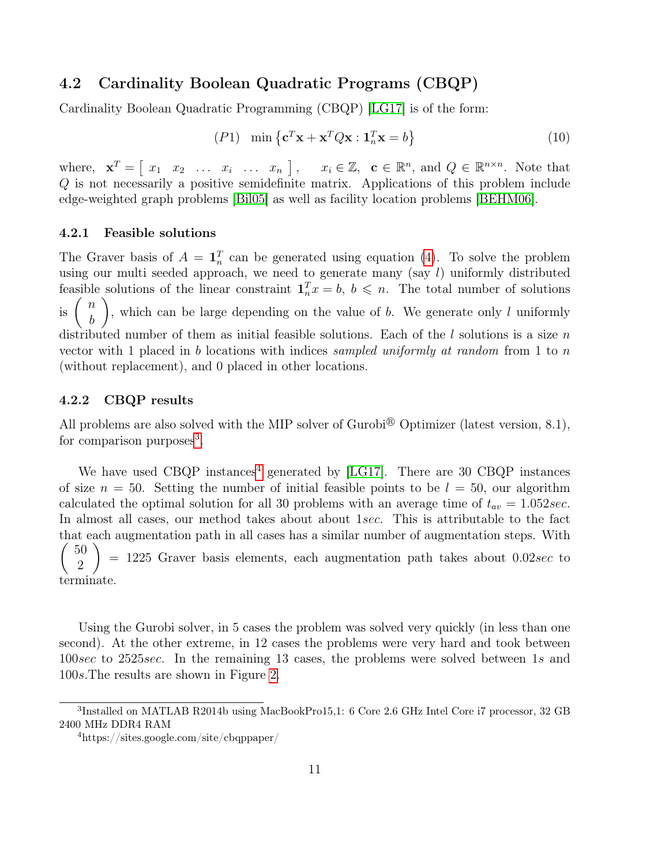### <span id="page-10-5"></span><span id="page-10-0"></span>4.2 Cardinality Boolean Quadratic Programs (CBQP)

Cardinality Boolean Quadratic Programming (CBQP) [\[LG17\]](#page-23-9) is of the form:

$$
(P1) \quad \min\left\{ \mathbf{c}^T \mathbf{x} + \mathbf{x}^T Q \mathbf{x} : \mathbf{1}_n^T \mathbf{x} = b \right\}
$$
\n<sup>(10)</sup>

where,  $\mathbf{x}^T = \begin{bmatrix} x_1 & x_2 & \dots & x_i & \dots & x_n \end{bmatrix}$ ,  $x_i \in \mathbb{Z}$ ,  $\mathbf{c} \in \mathbb{R}^n$ , and  $Q \in \mathbb{R}^{n \times n}$ . Note that Q is not necessarily a positive semidefinite matrix. Applications of this problem include edge-weighted graph problems [\[Bil05\]](#page-22-6) as well as facility location problems [\[BEHM06\]](#page-22-7).

### <span id="page-10-1"></span>4.2.1 Feasible solutions

The Graver basis of  $A = \mathbf{1}_n^T$  can be generated using equation [\(4\)](#page-6-4). To solve the problem using our multi seeded approach, we need to generate many  $(say l)$  uniformly distributed feasible solutions of the linear constraint  $\mathbf{1}_n^T x = b, b \leq n$ . The total number of solutions is  $\binom{n}{k}$ b  $\setminus$ , which can be large depending on the value of  $b$ . We generate only  $l$  uniformly distributed number of them as initial feasible solutions. Each of the  $l$  solutions is a size  $n$ vector with 1 placed in b locations with indices sampled uniformly at random from 1 to n (without replacement), and 0 placed in other locations.

### <span id="page-10-2"></span>4.2.2 CBQP results

All problems are also solved with the MIP solver of Gurobi<sup>®</sup> Optimizer (latest version, 8.1), for comparison purposes<sup>[3](#page-10-3)</sup>.

We have used CBQP instances<sup>[4](#page-10-4)</sup> generated by [\[LG17\]](#page-23-9). There are 30 CBQP instances of size  $n = 50$ . Setting the number of initial feasible points to be  $l = 50$ , our algorithm calculated the optimal solution for all 30 problems with an average time of  $t_{av} = 1.052 \text{sec}$ . In almost all cases, our method takes about about 1sec. This is attributable to the fact that each augmentation path in all cases has a similar number of augmentation steps. With  $\sqrt{ }$ 50 2  $\setminus$  $= 1225$  Graver basis elements, each augmentation path takes about 0.02sec to terminate.

Using the Gurobi solver, in 5 cases the problem was solved very quickly (in less than one second). At the other extreme, in 12 cases the problems were very hard and took between 100sec to 2525sec. In the remaining 13 cases, the problems were solved between 1s and 100s.The results are shown in Figure [2.](#page-11-0)

<span id="page-10-3"></span><sup>&</sup>lt;sup>3</sup>Installed on MATLAB R2014b using MacBookPro15,1: 6 Core 2.6 GHz Intel Core i7 processor, 32 GB 2400 MHz DDR4 RAM

<span id="page-10-4"></span><sup>4</sup>https://sites.google.com/site/cbqppaper/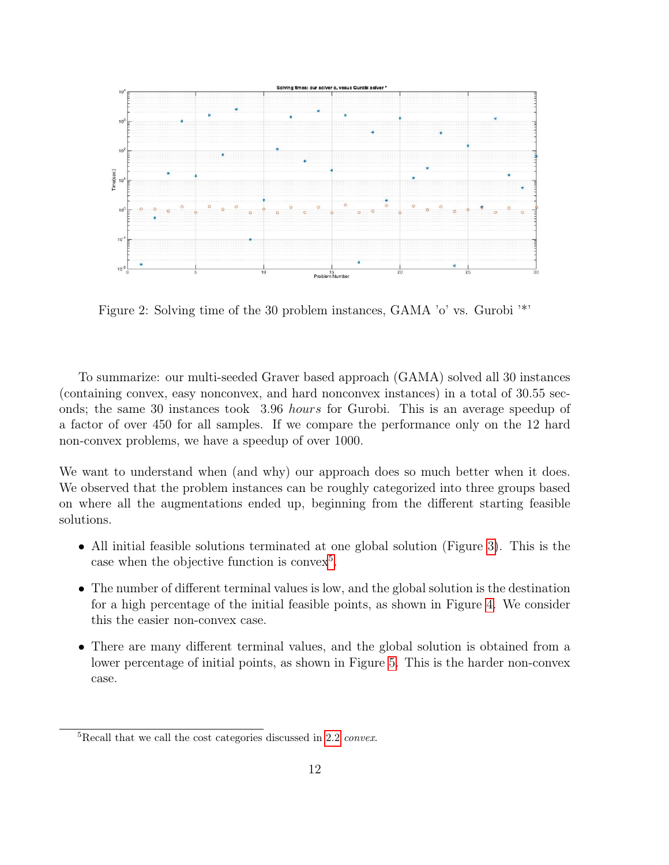<span id="page-11-0"></span>

Figure 2: Solving time of the 30 problem instances, GAMA 'o' vs. Gurobi '\*'

To summarize: our multi-seeded Graver based approach (GAMA) solved all 30 instances (containing convex, easy nonconvex, and hard nonconvex instances) in a total of 30.55 seconds; the same 30 instances took 3.96 hours for Gurobi. This is an average speedup of a factor of over 450 for all samples. If we compare the performance only on the 12 hard non-convex problems, we have a speedup of over 1000.

We want to understand when (and why) our approach does so much better when it does. We observed that the problem instances can be roughly categorized into three groups based on where all the augmentations ended up, beginning from the different starting feasible solutions.

- All initial feasible solutions terminated at one global solution (Figure [3\)](#page-12-0). This is the case when the objective function is convex<sup>[5](#page-11-1)</sup>.
- The number of different terminal values is low, and the global solution is the destination for a high percentage of the initial feasible points, as shown in Figure [4.](#page-12-1) We consider this the easier non-convex case.
- There are many different terminal values, and the global solution is obtained from a lower percentage of initial points, as shown in Figure [5.](#page-13-0) This is the harder non-convex case.

<span id="page-11-1"></span><sup>5</sup>Recall that we call the cost categories discussed in [2.2](#page-5-0) convex.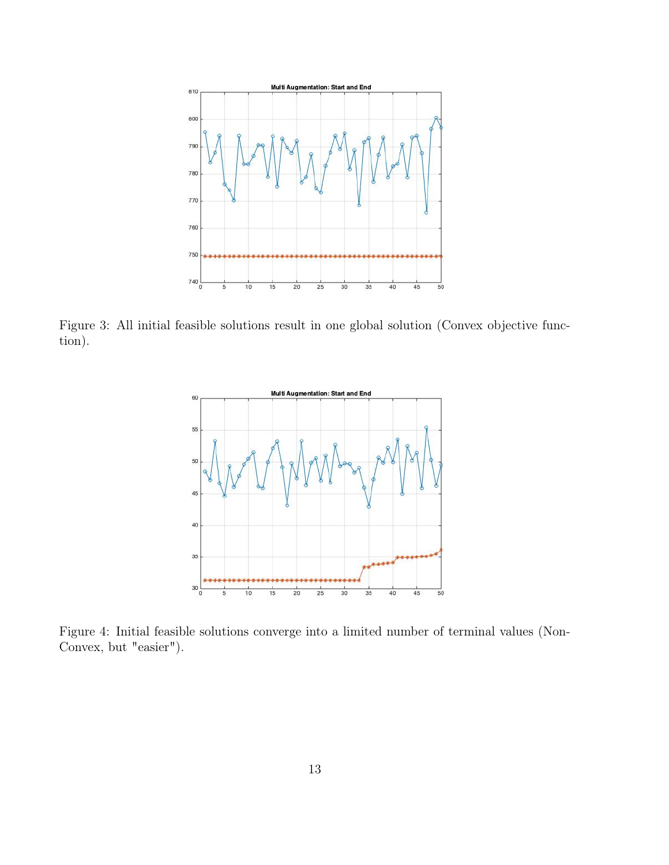<span id="page-12-0"></span>

<span id="page-12-1"></span>Figure 3: All initial feasible solutions result in one global solution (Convex objective function).



Figure 4: Initial feasible solutions converge into a limited number of terminal values (Non-Convex, but "easier").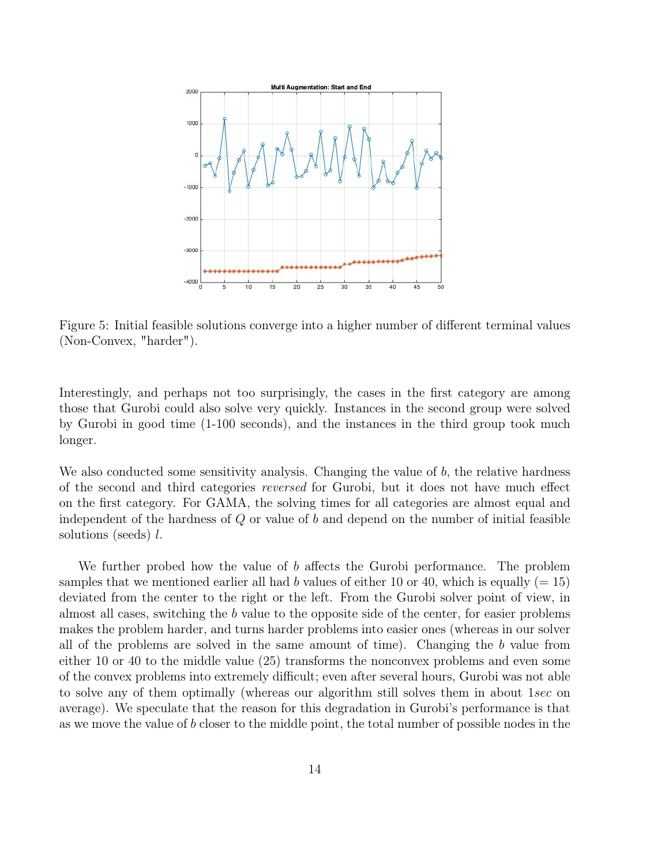<span id="page-13-0"></span>

Figure 5: Initial feasible solutions converge into a higher number of different terminal values (Non-Convex, "harder").

Interestingly, and perhaps not too surprisingly, the cases in the first category are among those that Gurobi could also solve very quickly. Instances in the second group were solved by Gurobi in good time (1-100 seconds), and the instances in the third group took much longer.

We also conducted some sensitivity analysis. Changing the value of b, the relative hardness of the second and third categories reversed for Gurobi, but it does not have much effect on the first category. For GAMA, the solving times for all categories are almost equal and independent of the hardness of  $Q$  or value of  $b$  and depend on the number of initial feasible solutions (seeds) l.

We further probed how the value of b affects the Gurobi performance. The problem samples that we mentioned earlier all had b values of either 10 or 40, which is equally  $(= 15)$ deviated from the center to the right or the left. From the Gurobi solver point of view, in almost all cases, switching the b value to the opposite side of the center, for easier problems makes the problem harder, and turns harder problems into easier ones (whereas in our solver all of the problems are solved in the same amount of time). Changing the b value from either 10 or 40 to the middle value (25) transforms the nonconvex problems and even some of the convex problems into extremely difficult; even after several hours, Gurobi was not able to solve any of them optimally (whereas our algorithm still solves them in about 1sec on average). We speculate that the reason for this degradation in Gurobi's performance is that as we move the value of b closer to the middle point, the total number of possible nodes in the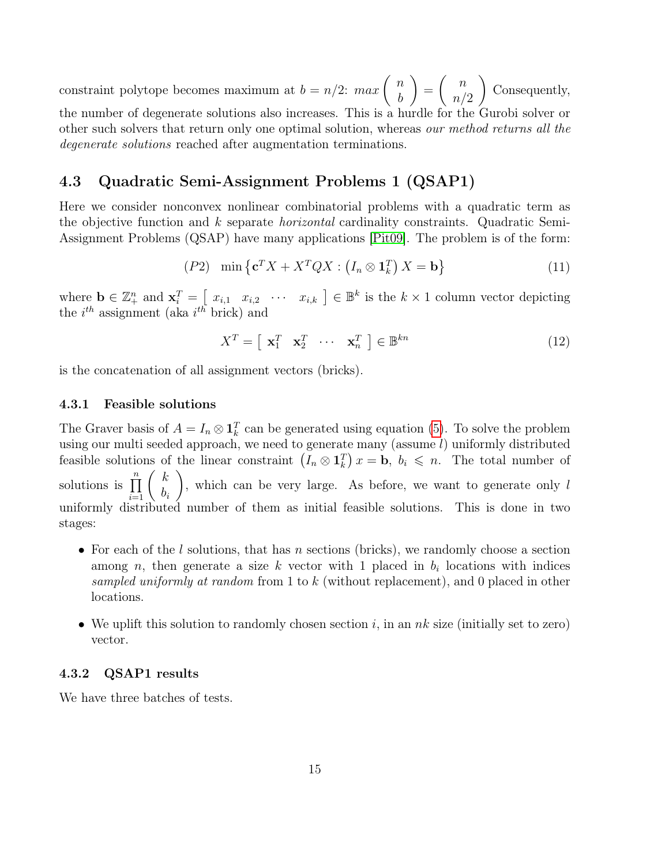<span id="page-14-4"></span>constraint polytope becomes maximum at  $b = n/2$ :  $max\begin{pmatrix} n \\ n \end{pmatrix}$ b  $\setminus$ =  $\begin{pmatrix} n \\ n \end{pmatrix}$  $n/2$  $\setminus$ Consequently, the number of degenerate solutions also increases. This is a hurdle for the Gurobi solver or other such solvers that return only one optimal solution, whereas our method returns all the degenerate solutions reached after augmentation terminations.

### <span id="page-14-0"></span>4.3 Quadratic Semi-Assignment Problems 1 (QSAP1)

Here we consider nonconvex nonlinear combinatorial problems with a quadratic term as the objective function and k separate *horizontal* cardinality constraints. Quadratic Semi-Assignment Problems (QSAP) have many applications [\[Pit09\]](#page-24-6). The problem is of the form:

$$
(P2) \quad \min\left\{ \mathbf{c}^T X + X^T Q X : \left( I_n \otimes \mathbf{1}_k^T \right) X = \mathbf{b} \right\}
$$
\n<sup>(11)</sup>

where  $\mathbf{b} \in \mathbb{Z}_+^n$  and  $\mathbf{x}_i^T = \begin{bmatrix} x_{i,1} & x_{i,2} & \cdots & x_{i,k} \end{bmatrix} \in \mathbb{B}^k$  is the  $k \times 1$  column vector depicting the  $i^{th}$  assignment (aka  $i^{th}$  brick) and

<span id="page-14-3"></span>
$$
X^T = \left[ \begin{array}{ccc} \mathbf{x}_1^T & \mathbf{x}_2^T & \cdots & \mathbf{x}_n^T \end{array} \right] \in \mathbb{B}^{kn} \tag{12}
$$

is the concatenation of all assignment vectors (bricks).

### <span id="page-14-1"></span>4.3.1 Feasible solutions

The Graver basis of  $A = I_n \otimes \mathbf{1}_k^T$  can be generated using equation [\(5\)](#page-6-5). To solve the problem using our multi seeded approach, we need to generate many (assume  $l$ ) uniformly distributed feasible solutions of the linear constraint  $(I_n \otimes \mathbf{1}_k^T) x = \mathbf{b}, b_i \leq n$ . The total number of solutions is  $\prod_{i=1}^{n} \begin{pmatrix} k \\ b_i \end{pmatrix}$  $b_i$  $\setminus$ , which can be very large. As before, we want to generate only l uniformly distributed number of them as initial feasible solutions. This is done in two stages:

- For each of the l solutions, that has n sections (bricks), we randomly choose a section among n, then generate a size k vector with 1 placed in  $b_i$  locations with indices sampled uniformly at random from 1 to k (without replacement), and 0 placed in other locations.
- We uplift this solution to randomly chosen section  $i$ , in an  $nk$  size (initially set to zero) vector.

### <span id="page-14-2"></span>4.3.2 QSAP1 results

We have three batches of tests.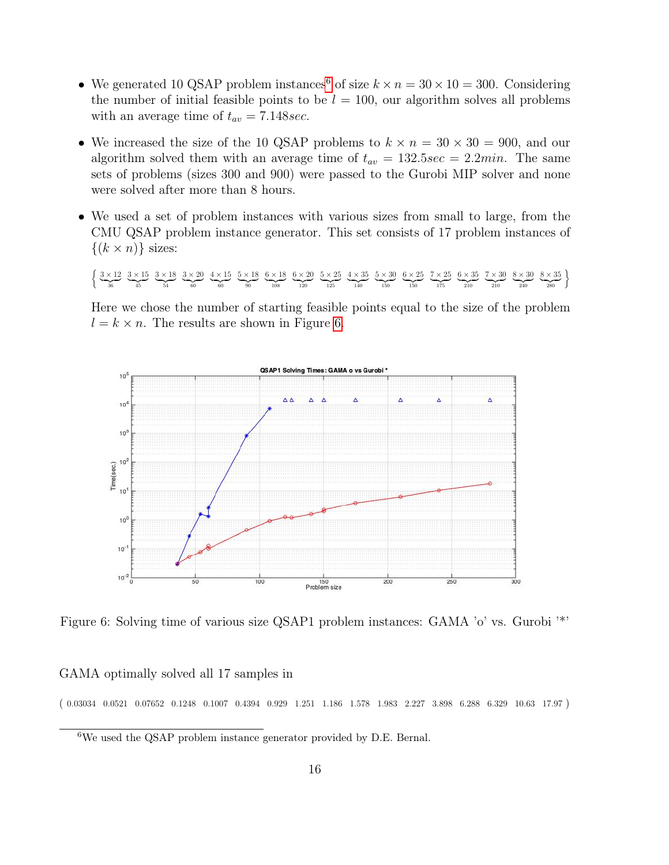- We generated 10 QSAP problem instances<sup>[6](#page-15-0)</sup> of size  $k \times n = 30 \times 10 = 300$ . Considering the number of initial feasible points to be  $l = 100$ , our algorithm solves all problems with an average time of  $t_{av} = 7.148 \text{sec}$ .
- We increased the size of the 10 QSAP problems to  $k \times n = 30 \times 30 = 900$ , and our algorithm solved them with an average time of  $t_{av} = 132.5sec = 2.2min$ . The same sets of problems (sizes 300 and 900) were passed to the Gurobi MIP solver and none were solved after more than 8 hours.
- We used a set of problem instances with various sizes from small to large, from the CMU QSAP problem instance generator. This set consists of 17 problem instances of  $\{(k \times n)\}\)$  sizes:

 $\int 3 \times 12$  $\frac{36}{ }$  $3 \times 15$  $\frac{1}{45}$  $3 \times 18$  $\frac{1}{54}$  $3 \times 20$  $\overline{60}$  $4 \times 15$  $\overline{60}$  $5 \times 18$  $\frac{30}{20}$  $6 \times 18$  $\overline{108}$  $6 \times 20$  $\overline{120}$  $5 \times 25$  $\frac{125}{25}$  $4 \times 35$  $\frac{140}{}$  $5 \times 30$  $\overline{150}$  $6 \times 25$  $\overline{150}$  $7 \times 25$  $\overline{175}$  $6 \times 35$  $\frac{210}{210}$  $7 \times 30$  $\frac{210}{210}$  $8 \times 30$  $\frac{240}{240}$  $8 \times 35$  $\left\{\frac{8\times35}{280}\right\}$ 

Here we chose the number of starting feasible points equal to the size of the problem  $l = k \times n$ . The results are shown in Figure [6.](#page-15-1)

<span id="page-15-1"></span>

Figure 6: Solving time of various size QSAP1 problem instances: GAMA 'o' vs. Gurobi '\*'

#### GAMA optimally solved all 17 samples in

 $(0.03034 \t0.0521 \t0.07652 \t0.1248 \t0.1007 \t0.4394 \t0.929 \t1.251 \t1.186 \t1.578 \t1.983 \t2.227 \t3.898 \t6.288 \t6.329 \t10.63 \t17.97)$ 

<span id="page-15-0"></span><sup>6</sup>We used the QSAP problem instance generator provided by D.E. Bernal.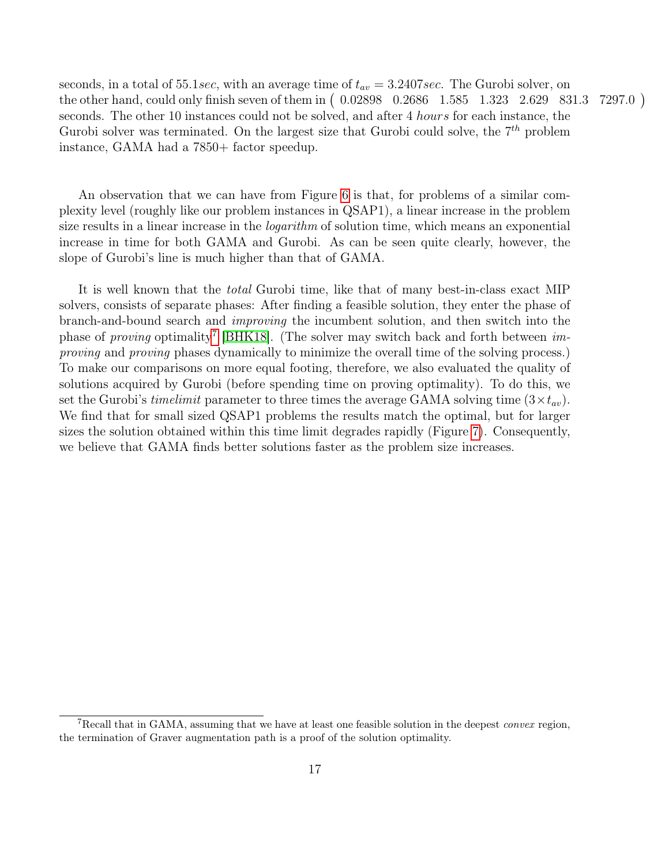<span id="page-16-1"></span>seconds, in a total of 55.1sec, with an average time of  $t_{av} = 3.2407$  sec. The Gurobi solver, on the other hand, could only finish seven of them in (0.02898 0.2686 1.585 1.323 2.629 831.3 7297.0) seconds. The other 10 instances could not be solved, and after 4 *hours* for each instance, the Gurobi solver was terminated. On the largest size that Gurobi could solve, the  $7<sup>th</sup>$  problem instance, GAMA had a 7850+ factor speedup.

An observation that we can have from Figure [6](#page-15-1) is that, for problems of a similar complexity level (roughly like our problem instances in QSAP1), a linear increase in the problem size results in a linear increase in the *logarithm* of solution time, which means an exponential increase in time for both GAMA and Gurobi. As can be seen quite clearly, however, the slope of Gurobi's line is much higher than that of GAMA.

It is well known that the total Gurobi time, like that of many best-in-class exact MIP solvers, consists of separate phases: After finding a feasible solution, they enter the phase of branch-and-bound search and improving the incumbent solution, and then switch into the phase of *proving* optimality<sup>[7](#page-16-0)</sup> [\[BHK18\]](#page-22-8). (The solver may switch back and forth between *im*proving and proving phases dynamically to minimize the overall time of the solving process.) To make our comparisons on more equal footing, therefore, we also evaluated the quality of solutions acquired by Gurobi (before spending time on proving optimality). To do this, we set the Gurobi's timelimit parameter to three times the average GAMA solving time  $(3 \times t_{av})$ . We find that for small sized QSAP1 problems the results match the optimal, but for larger sizes the solution obtained within this time limit degrades rapidly (Figure [7\)](#page-17-2). Consequently, we believe that GAMA finds better solutions faster as the problem size increases.

<span id="page-16-0"></span><sup>&</sup>lt;sup>7</sup>Recall that in GAMA, assuming that we have at least one feasible solution in the deepest convex region, the termination of Graver augmentation path is a proof of the solution optimality.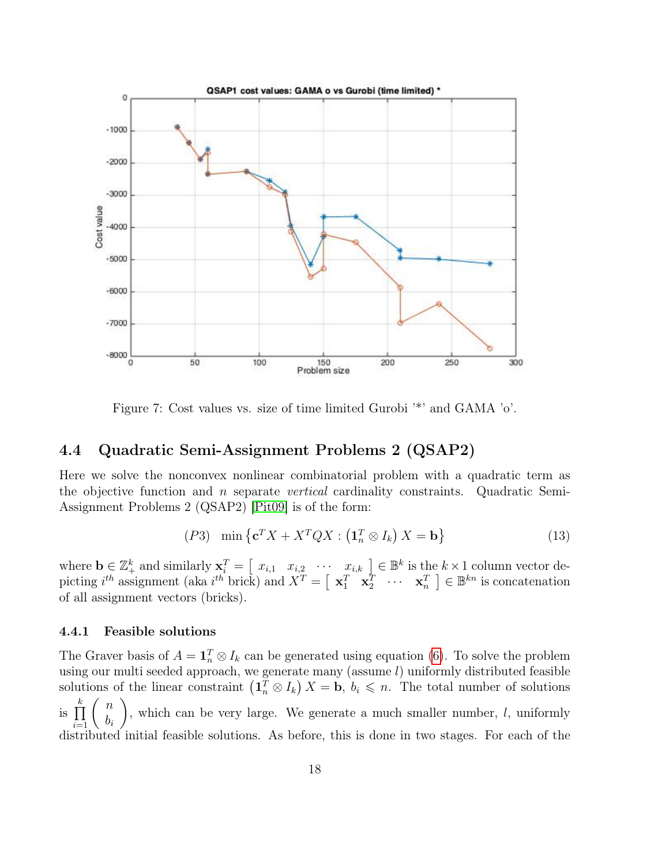<span id="page-17-4"></span><span id="page-17-2"></span>

Figure 7: Cost values vs. size of time limited Gurobi '\*' and GAMA 'o'.

### <span id="page-17-0"></span>4.4 Quadratic Semi-Assignment Problems 2 (QSAP2)

Here we solve the nonconvex nonlinear combinatorial problem with a quadratic term as the objective function and n separate vertical cardinality constraints. Quadratic Semi-Assignment Problems 2 (QSAP2) [\[Pit09\]](#page-24-6) is of the form:

<span id="page-17-3"></span>
$$
(P3)\quad \min\left\{ \mathbf{c}^T X + X^T Q X : \left(\mathbf{1}_n^T \otimes I_k\right) X = \mathbf{b} \right\}
$$
\n<sup>(13)</sup>

where  $\mathbf{b} \in \mathbb{Z}_+^k$  and similarly  $\mathbf{x}_i^T = \begin{bmatrix} x_{i,1} & x_{i,2} & \cdots & x_{i,k} \end{bmatrix} \in \mathbb{B}^k$  is the  $k \times 1$  column vector depicting  $i^{th}$  assignment (aka  $i^{th}$  brick) and  $X^T = \begin{bmatrix} \mathbf{x}_1^T & \mathbf{x}_2^T & \cdots & \mathbf{x}_n^T \end{bmatrix} \in \mathbb{B}^{kn}$  is concatenation of all assignment vectors (bricks).

#### <span id="page-17-1"></span>4.4.1 Feasible solutions

The Graver basis of  $A = \mathbf{1}_n^T \otimes I_k$  can be generated using equation [\(6\)](#page-7-3). To solve the problem using our multi seeded approach, we generate many (assume  $l$ ) uniformly distributed feasible solutions of the linear constraint  $(\mathbf{1}_n^T \otimes I_k) X = \mathbf{b}, b_i \leq n$ . The total number of solutions is  $\prod_{i=1}^k$  ( n  $b_i$  $\setminus$ , which can be very large. We generate a much smaller number,  $l$ , uniformly distributed initial feasible solutions. As before, this is done in two stages. For each of the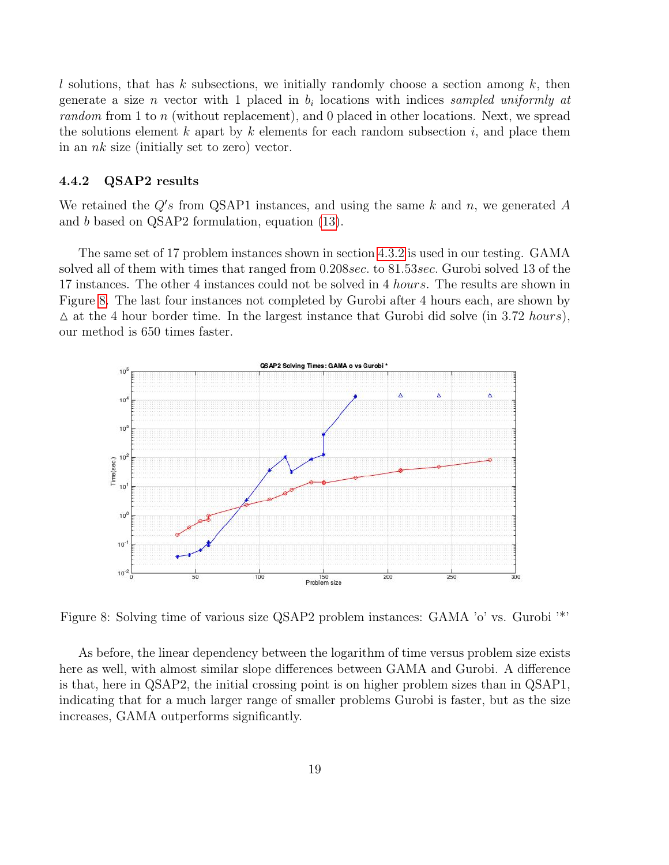l solutions, that has k subsections, we initially randomly choose a section among  $k$ , then generate a size *n* vector with 1 placed in  $b_i$  locations with indices sampled uniformly at random from 1 to n (without replacement), and 0 placed in other locations. Next, we spread the solutions element  $k$  apart by  $k$  elements for each random subsection  $i$ , and place them in an  $nk$  size (initially set to zero) vector.

### <span id="page-18-0"></span>4.4.2 QSAP2 results

We retained the  $Q's$  from QSAP1 instances, and using the same  $k$  and  $n$ , we generated  $A$ and b based on QSAP2 formulation, equation [\(13\)](#page-17-3).

The same set of 17 problem instances shown in section [4.3.2](#page-14-2) is used in our testing. GAMA solved all of them with times that ranged from 0.208sec. to 81.53sec. Gurobi solved 13 of the 17 instances. The other 4 instances could not be solved in 4 hours. The results are shown in Figure [8.](#page-18-1) The last four instances not completed by Gurobi after 4 hours each, are shown by  $\Delta$  at the 4 hour border time. In the largest instance that Gurobi did solve (in 3.72 hours), our method is 650 times faster.

<span id="page-18-1"></span>

Figure 8: Solving time of various size QSAP2 problem instances: GAMA 'o' vs. Gurobi '\*'

As before, the linear dependency between the logarithm of time versus problem size exists here as well, with almost similar slope differences between GAMA and Gurobi. A difference is that, here in QSAP2, the initial crossing point is on higher problem sizes than in QSAP1, indicating that for a much larger range of smaller problems Gurobi is faster, but as the size increases, GAMA outperforms significantly.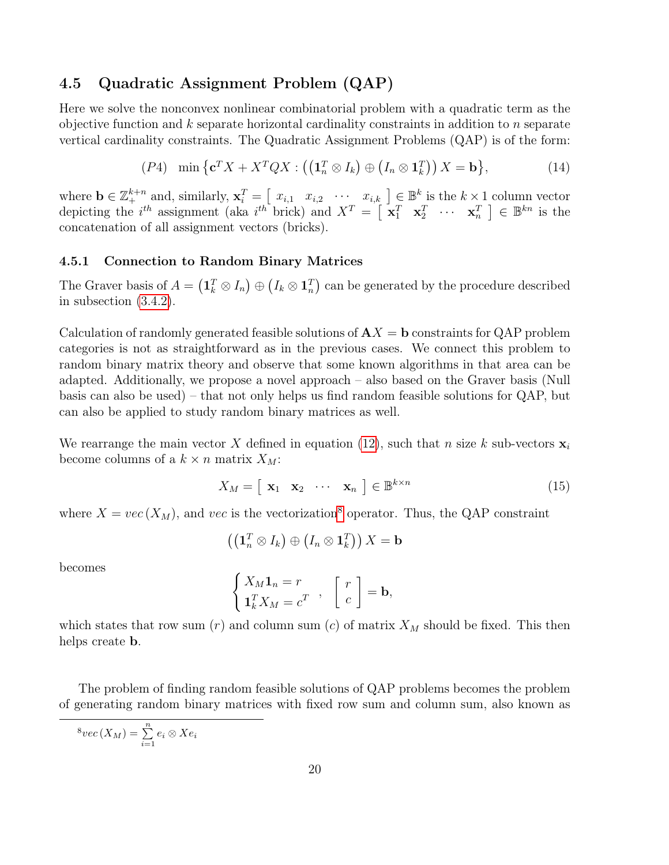### <span id="page-19-0"></span>4.5 Quadratic Assignment Problem (QAP)

Here we solve the nonconvex nonlinear combinatorial problem with a quadratic term as the objective function and  $k$  separate horizontal cardinality constraints in addition to  $n$  separate vertical cardinality constraints. The Quadratic Assignment Problems (QAP) is of the form:

$$
(P4) \quad \min\left\{ \mathbf{c}^T X + X^T Q X : \left( \left( \mathbf{1}_n^T \otimes I_k \right) \oplus \left( I_n \otimes \mathbf{1}_k^T \right) \right) X = \mathbf{b} \right\},\tag{14}
$$

where  $\mathbf{b} \in \mathbb{Z}_+^{k+n}$  and, similarly,  $\mathbf{x}_i^T = \begin{bmatrix} x_{i,1} & x_{i,2} & \cdots & x_{i,k} \end{bmatrix} \in \mathbb{B}^k$  is the  $k \times 1$  column vector depicting the  $i^{th}$  assignment (aka  $i^{th}$  brick) and  $X^T = \begin{bmatrix} x_1^T & x_2^T & \cdots & x_n^T \end{bmatrix} \in \mathbb{B}^{kn}$  is the concatenation of all assignment vectors (bricks).

#### <span id="page-19-1"></span>4.5.1 Connection to Random Binary Matrices

The Graver basis of  $A = (\mathbf{1}_k^T \otimes I_n) \oplus (I_k \otimes \mathbf{1}_n^T)$  can be generated by the procedure described in subsection [\(3.4.2\)](#page-7-2).

Calculation of randomly generated feasible solutions of  $AX = b$  constraints for QAP problem categories is not as straightforward as in the previous cases. We connect this problem to random binary matrix theory and observe that some known algorithms in that area can be adapted. Additionally, we propose a novel approach – also based on the Graver basis (Null basis can also be used) – that not only helps us find random feasible solutions for QAP, but can also be applied to study random binary matrices as well.

We rearrange the main vector X defined in equation [\(12\)](#page-14-3), such that n size k sub-vectors  $\mathbf{x}_i$ become columns of a  $k \times n$  matrix  $X_M$ :

$$
X_M = \left[ \begin{array}{ccc} \mathbf{x}_1 & \mathbf{x}_2 & \cdots & \mathbf{x}_n \end{array} \right] \in \mathbb{B}^{k \times n} \tag{15}
$$

where  $X = vec(X_M)$ , and vec is the vectorization<sup>[8](#page-19-2)</sup> operator. Thus, the QAP constraint

$$
\left(\left(\mathbf{1}_{n}^{T} \otimes I_{k}\right) \oplus \left(I_{n} \otimes \mathbf{1}_{k}^{T}\right)\right) X = \mathbf{b}
$$

becomes

$$
\begin{cases} X_M \mathbf{1}_n = r \\ \mathbf{1}_k^T X_M = c^T \end{cases}, \quad \begin{bmatrix} r \\ c \end{bmatrix} = \mathbf{b},
$$

which states that row sum  $(r)$  and column sum  $(c)$  of matrix  $X_M$  should be fixed. This then helps create b.

The problem of finding random feasible solutions of QAP problems becomes the problem of generating random binary matrices with fixed row sum and column sum, also known as

<span id="page-19-2"></span>
$$
{}^{8}vec(X_M) = \sum_{i=1}^{n} e_i \otimes Xe_i
$$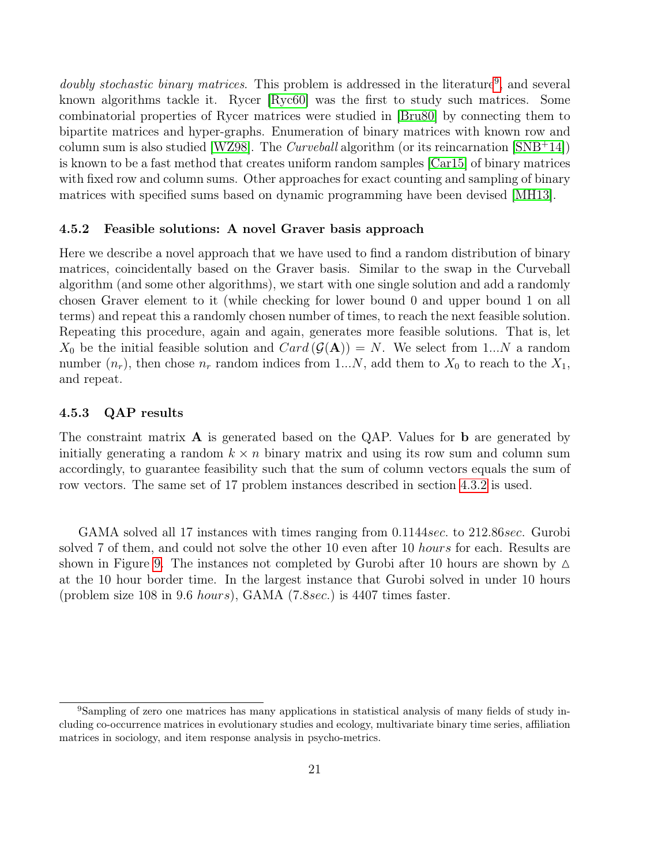<span id="page-20-3"></span>doubly stochastic binary matrices. This problem is addressed in the literature<sup>[9](#page-20-2)</sup>, and several known algorithms tackle it. Rycer [\[Ryc60\]](#page-24-7) was the first to study such matrices. Some combinatorial properties of Rycer matrices were studied in [\[Bru80\]](#page-23-10) by connecting them to bipartite matrices and hyper-graphs. Enumeration of binary matrices with known row and column sum is also studied [\[WZ98\]](#page-24-8). The *Curveball* algorithm (or its reincarnation  $\text{SNB+14}$ ]) is known to be a fast method that creates uniform random samples [\[Car15\]](#page-23-11) of binary matrices with fixed row and column sums. Other approaches for exact counting and sampling of binary matrices with specified sums based on dynamic programming have been devised [\[MH13\]](#page-24-10).

### <span id="page-20-0"></span>4.5.2 Feasible solutions: A novel Graver basis approach

Here we describe a novel approach that we have used to find a random distribution of binary matrices, coincidentally based on the Graver basis. Similar to the swap in the Curveball algorithm (and some other algorithms), we start with one single solution and add a randomly chosen Graver element to it (while checking for lower bound 0 and upper bound 1 on all terms) and repeat this a randomly chosen number of times, to reach the next feasible solution. Repeating this procedure, again and again, generates more feasible solutions. That is, let  $X_0$  be the initial feasible solution and  $Card(\mathcal{G}(A))=N$ . We select from 1...N a random number  $(n_r)$ , then chose  $n_r$  random indices from 1...N, add them to  $X_0$  to reach to the  $X_1$ , and repeat.

### <span id="page-20-1"></span>4.5.3 QAP results

The constraint matrix  $\bf{A}$  is generated based on the QAP. Values for  $\bf{b}$  are generated by initially generating a random  $k \times n$  binary matrix and using its row sum and column sum accordingly, to guarantee feasibility such that the sum of column vectors equals the sum of row vectors. The same set of 17 problem instances described in section [4.3.2](#page-14-2) is used.

GAMA solved all 17 instances with times ranging from 0.1144sec. to 212.86sec. Gurobi solved 7 of them, and could not solve the other 10 even after 10 *hours* for each. Results are shown in Figure [9.](#page-21-0) The instances not completed by Gurobi after 10 hours are shown by  $\Delta$ at the 10 hour border time. In the largest instance that Gurobi solved in under 10 hours (problem size 108 in 9.6 hours), GAMA (7.8sec.) is 4407 times faster.

<span id="page-20-2"></span><sup>9</sup>Sampling of zero one matrices has many applications in statistical analysis of many fields of study including co-occurrence matrices in evolutionary studies and ecology, multivariate binary time series, affiliation matrices in sociology, and item response analysis in psycho-metrics.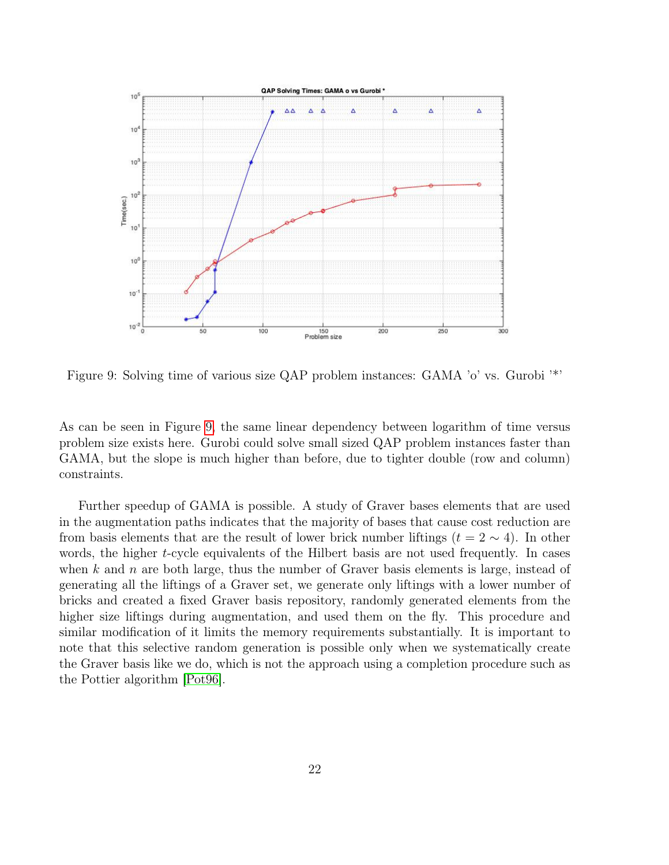<span id="page-21-1"></span><span id="page-21-0"></span>

Figure 9: Solving time of various size QAP problem instances: GAMA 'o' vs. Gurobi '\*'

As can be seen in Figure [9,](#page-21-0) the same linear dependency between logarithm of time versus problem size exists here. Gurobi could solve small sized QAP problem instances faster than GAMA, but the slope is much higher than before, due to tighter double (row and column) constraints.

Further speedup of GAMA is possible. A study of Graver bases elements that are used in the augmentation paths indicates that the majority of bases that cause cost reduction are from basis elements that are the result of lower brick number liftings ( $t = 2 \sim 4$ ). In other words, the higher t-cycle equivalents of the Hilbert basis are not used frequently. In cases when k and n are both large, thus the number of Graver basis elements is large, instead of generating all the liftings of a Graver set, we generate only liftings with a lower number of bricks and created a fixed Graver basis repository, randomly generated elements from the higher size liftings during augmentation, and used them on the fly. This procedure and similar modification of it limits the memory requirements substantially. It is important to note that this selective random generation is possible only when we systematically create the Graver basis like we do, which is not the approach using a completion procedure such as the Pottier algorithm [\[Pot96\]](#page-24-2).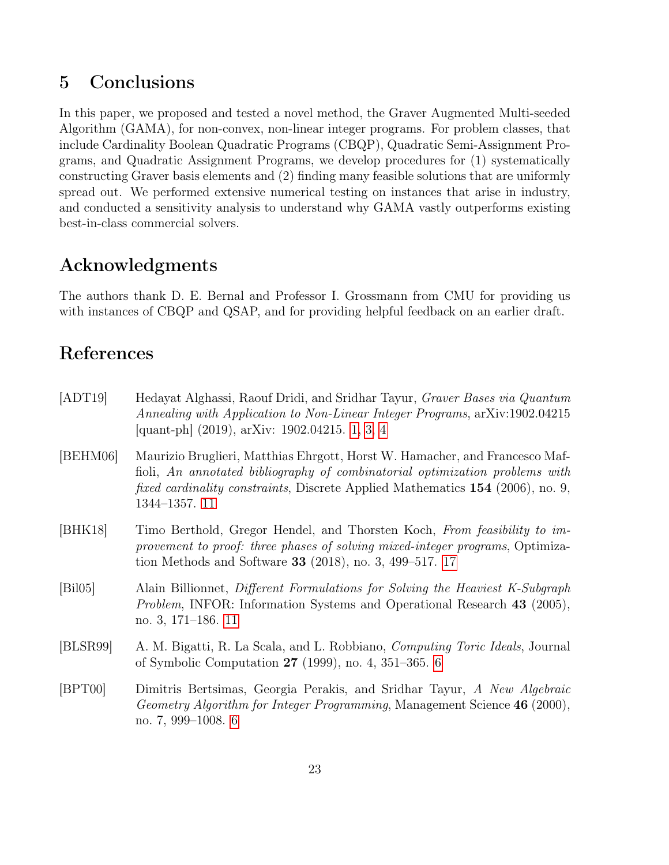# <span id="page-22-1"></span>5 Conclusions

In this paper, we proposed and tested a novel method, the Graver Augmented Multi-seeded Algorithm (GAMA), for non-convex, non-linear integer programs. For problem classes, that include Cardinality Boolean Quadratic Programs (CBQP), Quadratic Semi-Assignment Programs, and Quadratic Assignment Programs, we develop procedures for (1) systematically constructing Graver basis elements and (2) finding many feasible solutions that are uniformly spread out. We performed extensive numerical testing on instances that arise in industry, and conducted a sensitivity analysis to understand why GAMA vastly outperforms existing best-in-class commercial solvers.

# <span id="page-22-2"></span>Acknowledgments

The authors thank D. E. Bernal and Professor I. Grossmann from CMU for providing us with instances of CBQP and QSAP, and for providing helpful feedback on an earlier draft.

# <span id="page-22-3"></span>References

<span id="page-22-8"></span><span id="page-22-7"></span><span id="page-22-6"></span><span id="page-22-5"></span><span id="page-22-4"></span><span id="page-22-0"></span>

| [ADT19]  | Hedayat Alghassi, Raouf Dridi, and Sridhar Tayur, Graver Bases via Quantum<br>Annealing with Application to Non-Linear Integer Programs, arXiv:1902.04215<br>[quant-ph] (2019), arXiv: 1902.04215. 1, 3, 4                                                             |
|----------|------------------------------------------------------------------------------------------------------------------------------------------------------------------------------------------------------------------------------------------------------------------------|
| [BEHM06] | Maurizio Bruglieri, Matthias Ehrgott, Horst W. Hamacher, and Francesco Maf-<br>fioli, An annotated bibliography of combinatorial optimization problems with<br><i>fixed cardinality constraints</i> , Discrete Applied Mathematics 154 (2006), no. 9,<br>1344-1357. 11 |
| [BHK18]  | Timo Berthold, Gregor Hendel, and Thorsten Koch, From feasibility to im-<br>provement to proof: three phases of solving mixed-integer programs, Optimiza-<br>tion Methods and Software 33 $(2018)$ , no. 3, 499–517. 17                                                |
| [Bi105]  | Alain Billionnet, Different Formulations for Solving the Heaviest K-Subgraph<br><i>Problem</i> , INFOR: Information Systems and Operational Research 43 (2005),<br>no. 3, $171-186$ . 11                                                                               |
| [BLSR99] | A. M. Bigatti, R. La Scala, and L. Robbiano, <i>Computing Toric Ideals</i> , Journal<br>of Symbolic Computation $27$ (1999), no. 4, 351–365. 6                                                                                                                         |
| [BPT00]  | Dimitris Bertsimas, Georgia Perakis, and Sridhar Tayur, A New Algebraic<br><i>Geometry Algorithm for Integer Programming</i> , Management Science 46 (2000),<br>no. 7, 999–1008. $6$                                                                                   |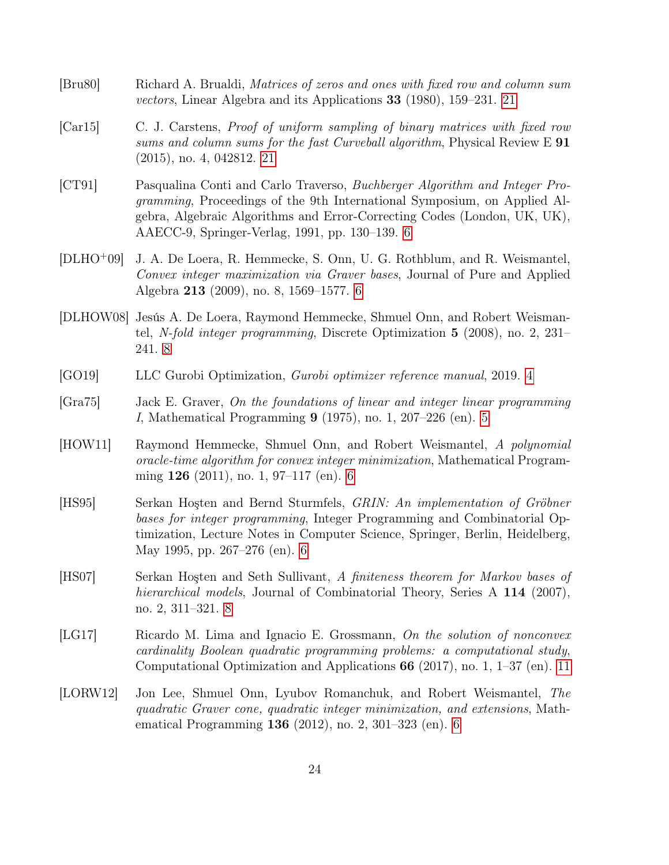- <span id="page-23-10"></span>[Bru80] Richard A. Brualdi, Matrices of zeros and ones with fixed row and column sum vectors, Linear Algebra and its Applications 33 (1980), 159–231. [21](#page-20-3)
- <span id="page-23-11"></span>[Car15] C. J. Carstens, Proof of uniform sampling of binary matrices with fixed row sums and column sums for the fast Curveball algorithm, Physical Review  $E 91$ (2015), no. 4, 042812. [21](#page-20-3)
- <span id="page-23-5"></span>[CT91] Pasqualina Conti and Carlo Traverso, Buchberger Algorithm and Integer Programming, Proceedings of the 9th International Symposium, on Applied Algebra, Algebraic Algorithms and Error-Correcting Codes (London, UK, UK), AAECC-9, Springer-Verlag, 1991, pp. 130–139. [6](#page-5-2)
- <span id="page-23-2"></span>[DLHO<sup>+</sup>09] J. A. De Loera, R. Hemmecke, S. Onn, U. G. Rothblum, and R. Weismantel, Convex integer maximization via Graver bases, Journal of Pure and Applied Algebra 213 (2009), no. 8, 1569–1577. [6](#page-5-2)
- <span id="page-23-8"></span>[DLHOW08] Jesús A. De Loera, Raymond Hemmecke, Shmuel Onn, and Robert Weismantel, N-fold integer programming, Discrete Optimization 5 (2008), no. 2, 231– 241. [8](#page-7-4)
- <span id="page-23-0"></span>[GO19] LLC Gurobi Optimization, Gurobi optimizer reference manual, 2019. [4](#page-3-2)
- <span id="page-23-1"></span>[Gra75] Jack E. Graver, On the foundations of linear and integer linear programming I, Mathematical Programming 9 (1975), no. 1, 207–226 (en). [5](#page-4-1)
- <span id="page-23-3"></span>[HOW11] Raymond Hemmecke, Shmuel Onn, and Robert Weismantel, A polynomial oracle-time algorithm for convex integer minimization, Mathematical Programming 126 (2011), no. 1, 97–117 (en). [6](#page-5-2)
- <span id="page-23-6"></span>[HS95] Serkan Hoşten and Bernd Sturmfels, GRIN: An implementation of Gröbner bases for integer programming, Integer Programming and Combinatorial Optimization, Lecture Notes in Computer Science, Springer, Berlin, Heidelberg, May 1995, pp. 267–276 (en). [6](#page-5-2)
- <span id="page-23-7"></span>[HS07] Serkan Hoşten and Seth Sullivant, A finiteness theorem for Markov bases of hierarchical models, Journal of Combinatorial Theory, Series A 114 (2007), no. 2, 311–321. [8](#page-7-4)
- <span id="page-23-9"></span>[LG17] Ricardo M. Lima and Ignacio E. Grossmann, On the solution of nonconvex cardinality Boolean quadratic programming problems: a computational study, Computational Optimization and Applications 66 (2017), no. 1, 1–37 (en). [11](#page-10-5)
- <span id="page-23-4"></span>[LORW12] Jon Lee, Shmuel Onn, Lyubov Romanchuk, and Robert Weismantel, The quadratic Graver cone, quadratic integer minimization, and extensions, Mathematical Programming 136 (2012), no. 2, 301–323 (en). [6](#page-5-2)